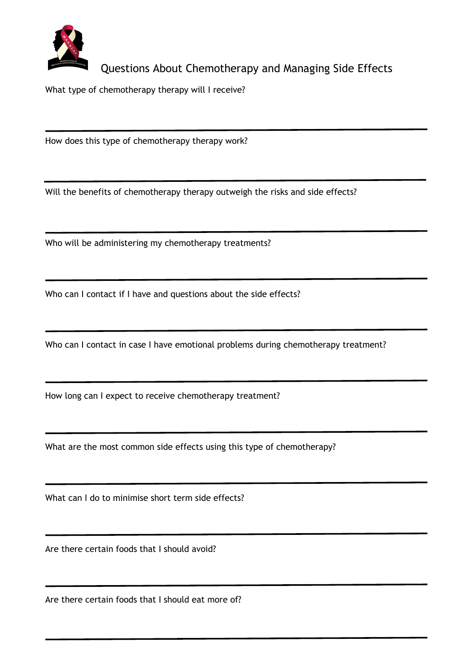

## Questions About Chemotherapy and Managing Side Effects

What type of chemotherapy therapy will I receive?

How does this type of chemotherapy therapy work?

Will the benefits of chemotherapy therapy outweigh the risks and side effects?

Who will be administering my chemotherapy treatments?

Who can I contact if I have and questions about the side effects?

Who can I contact in case I have emotional problems during chemotherapy treatment?

How long can I expect to receive chemotherapy treatment?

What are the most common side effects using this type of chemotherapy?

What can I do to minimise short term side effects?

Are there certain foods that I should avoid?

Are there certain foods that I should eat more of?